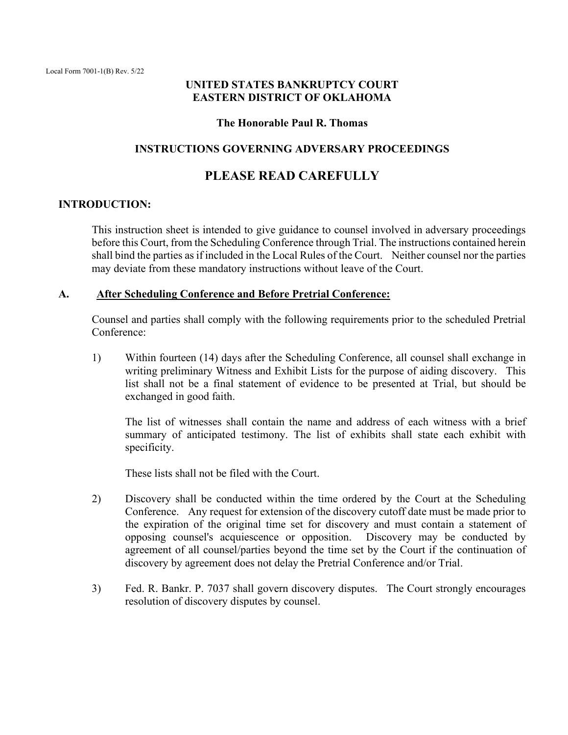## **UNITED STATES BANKRUPTCY COURT EASTERN DISTRICT OF OKLAHOMA**

#### **The Honorable Paul R. Thomas**

### **INSTRUCTIONS GOVERNING ADVERSARY PROCEEDINGS**

# **PLEASE READ CAREFULLY**

#### **INTRODUCTION:**

This instruction sheet is intended to give guidance to counsel involved in adversary proceedings before this Court, from the Scheduling Conference through Trial. The instructions contained herein shall bind the parties as if included in the Local Rules of the Court. Neither counsel nor the parties may deviate from these mandatory instructions without leave of the Court.

#### **A. After Scheduling Conference and Before Pretrial Conference:**

Counsel and parties shall comply with the following requirements prior to the scheduled Pretrial Conference:

1) Within fourteen (14) days after the Scheduling Conference, all counsel shall exchange in writing preliminary Witness and Exhibit Lists for the purpose of aiding discovery. This list shall not be a final statement of evidence to be presented at Trial, but should be exchanged in good faith.

The list of witnesses shall contain the name and address of each witness with a brief summary of anticipated testimony. The list of exhibits shall state each exhibit with specificity.

These lists shall not be filed with the Court.

- 2) Discovery shall be conducted within the time ordered by the Court at the Scheduling Conference. Any request for extension of the discovery cutoff date must be made prior to the expiration of the original time set for discovery and must contain a statement of opposing counsel's acquiescence or opposition. Discovery may be conducted by agreement of all counsel/parties beyond the time set by the Court if the continuation of discovery by agreement does not delay the Pretrial Conference and/or Trial.
- 3) Fed. R. Bankr. P. 7037 shall govern discovery disputes. The Court strongly encourages resolution of discovery disputes by counsel.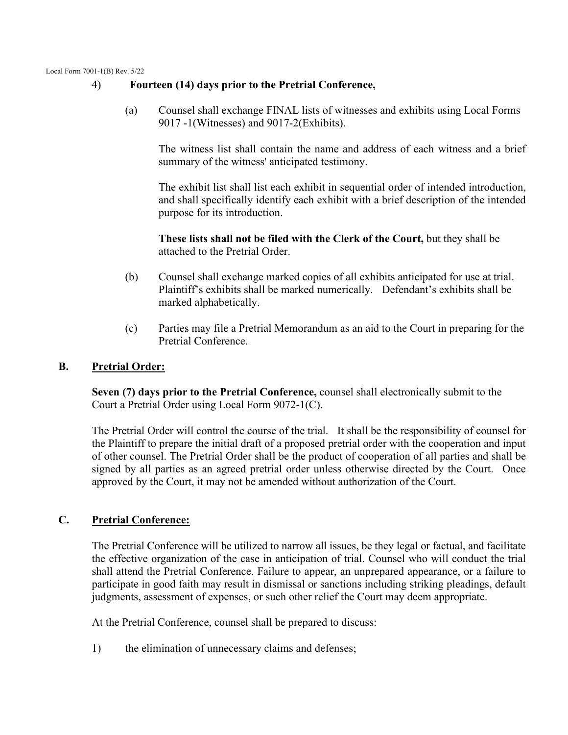Local Form 7001-1(B) Rev. 5/22

## 4) **Fourteen (14) days prior to the Pretrial Conference,**

(a) Counsel shall exchange FINAL lists of witnesses and exhibits using Local Forms 9017 -1(Witnesses) and 9017-2(Exhibits).

The witness list shall contain the name and address of each witness and a brief summary of the witness' anticipated testimony.

The exhibit list shall list each exhibit in sequential order of intended introduction, and shall specifically identify each exhibit with a brief description of the intended purpose for its introduction.

**These lists shall not be filed with the Clerk of the Court,** but they shall be attached to the Pretrial Order.

- (b) Counsel shall exchange marked copies of all exhibits anticipated for use at trial. Plaintiff's exhibits shall be marked numerically. Defendant's exhibits shall be marked alphabetically.
- (c) Parties may file a Pretrial Memorandum as an aid to the Court in preparing for the Pretrial Conference.

## **B. Pretrial Order:**

**Seven (7) days prior to the Pretrial Conference,** counsel shall electronically submit to the Court a Pretrial Order using Local Form 9072-1(C).

The Pretrial Order will control the course of the trial. It shall be the responsibility of counsel for the Plaintiff to prepare the initial draft of a proposed pretrial order with the cooperation and input of other counsel. The Pretrial Order shall be the product of cooperation of all parties and shall be signed by all parties as an agreed pretrial order unless otherwise directed by the Court. Once approved by the Court, it may not be amended without authorization of the Court.

# **C. Pretrial Conference:**

The Pretrial Conference will be utilized to narrow all issues, be they legal or factual, and facilitate the effective organization of the case in anticipation of trial. Counsel who will conduct the trial shall attend the Pretrial Conference. Failure to appear, an unprepared appearance, or a failure to participate in good faith may result in dismissal or sanctions including striking pleadings, default judgments, assessment of expenses, or such other relief the Court may deem appropriate.

At the Pretrial Conference, counsel shall be prepared to discuss:

1) the elimination of unnecessary claims and defenses;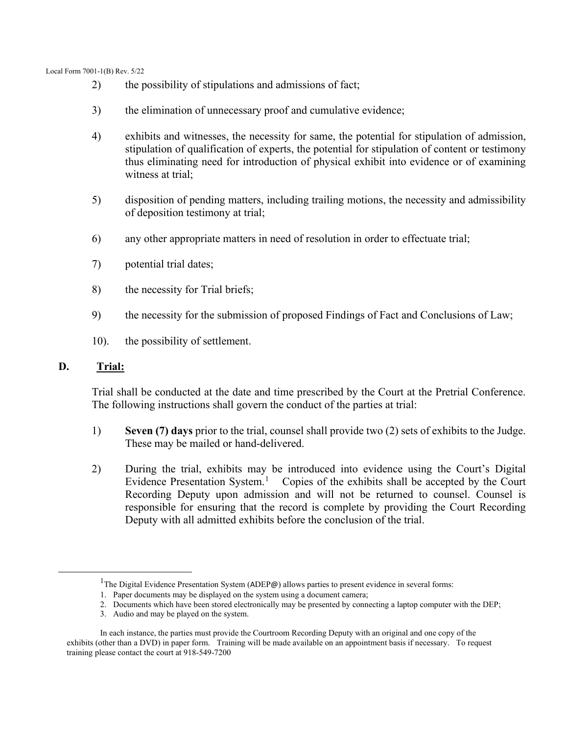- 2) the possibility of stipulations and admissions of fact;
- 3) the elimination of unnecessary proof and cumulative evidence;
- 4) exhibits and witnesses, the necessity for same, the potential for stipulation of admission, stipulation of qualification of experts, the potential for stipulation of content or testimony thus eliminating need for introduction of physical exhibit into evidence or of examining witness at trial;
- 5) disposition of pending matters, including trailing motions, the necessity and admissibility of deposition testimony at trial;
- 6) any other appropriate matters in need of resolution in order to effectuate trial;
- 7) potential trial dates;
- 8) the necessity for Trial briefs;
- 9) the necessity for the submission of proposed Findings of Fact and Conclusions of Law;
- 10). the possibility of settlement.

### **D. Trial:**

Trial shall be conducted at the date and time prescribed by the Court at the Pretrial Conference. The following instructions shall govern the conduct of the parties at trial:

- 1) **Seven (7) days** prior to the trial, counsel shall provide two (2) sets of exhibits to the Judge. These may be mailed or hand-delivered.
- 2) During the trial, exhibits may be introduced into evidence using the Court's Digital Evidence Presentation System.<sup>[1](#page-2-0)</sup> Copies of the exhibits shall be accepted by the Court Recording Deputy upon admission and will not be returned to counsel. Counsel is responsible for ensuring that the record is complete by providing the Court Recording Deputy with all admitted exhibits before the conclusion of the trial.

<sup>&</sup>lt;sup>1</sup>The Digital Evidence Presentation System (ADEP@) allows parties to present evidence in several forms:

<sup>1.</sup> Paper documents may be displayed on the system using a document camera;

<sup>2.</sup> Documents which have been stored electronically may be presented by connecting a laptop computer with the DEP;

<sup>3.</sup> Audio and may be played on the system.

<span id="page-2-0"></span>In each instance, the parties must provide the Courtroom Recording Deputy with an original and one copy of the exhibits (other than a DVD) in paper form. Training will be made available on an appointment basis if necessary. To request training please contact the court at 918-549-7200